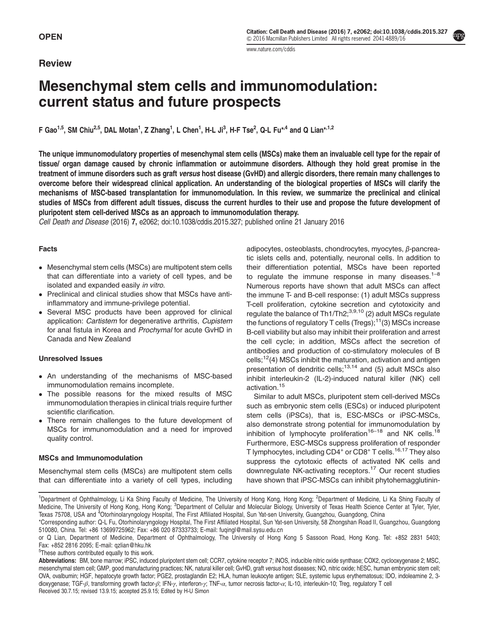# Review

[www.nature.com/cddis](http://www.nature.com/cddis)

# Mesenchymal stem cells and immunomodulation: current status and future prospects

F Gao<sup>1,5</sup>, SM Chiu<sup>2,5</sup>, DAL Motan<sup>1</sup>, Z Zhang<sup>1</sup>, L Chen<sup>1</sup>, H-L Ji<sup>3</sup>, H-F Tse<sup>2</sup>, Q-L Fu\*<sup>4</sup> and Q Lian\*<sup>1,2</sup>

The unique immunomodulatory properties of mesenchymal stem cells (MSCs) make them an invaluable cell type for the repair of tissue/ organ damage caused by chronic inflammation or autoimmune disorders. Although they hold great promise in the treatment of immune disorders such as graft versus host disease (GvHD) and allergic disorders, there remain many challenges to overcome before their widespread clinical application. An understanding of the biological properties of MSCs will clarify the mechanisms of MSC-based transplantation for immunomodulation. In this review, we summarize the preclinical and clinical studies of MSCs from different adult tissues, discuss the current hurdles to their use and propose the future development of pluripotent stem cell-derived MSCs as an approach to immunomodulation therapy.

Cell Death and Disease (2016) 7, e2062; doi[:10.1038/cddis.2015.327;](http://dx.doi.org/10.1038/cddis.2015.327) published online 21 January 2016

## Facts

- Mesenchymal stem cells (MSCs) are multipotent stem cells that can differentiate into a variety of cell types, and be isolated and expanded easily in vitro.
- Preclinical and clinical studies show that MSCs have antiinflammatory and immune-privilege potential.
- Several MSC products have been approved for clinical application: Cartistem for degenerative arthritis, Cupistem for anal fistula in Korea and Prochymal for acute GvHD in Canada and New Zealand

## Unresolved Issues

- An understanding of the mechanisms of MSC-based immunomodulation remains incomplete.
- The possible reasons for the mixed results of MSC immunomodulation therapies in clinical trials require further scientific clarification.
- There remain challenges to the future development of MSCs for immunomodulation and a need for improved quality control.

## MSCs and Immunomodulation

Mesenchymal stem cells (MSCs) are multipotent stem cells that can differentiate into a variety of cell types, including adipocytes, osteoblasts, chondrocytes, myocytes, β-pancreatic islets cells and, potentially, neuronal cells. In addition to their differentiation potential, MSCs have been reported to regulate the immune response in many diseases. $1-8$ Numerous reports have shown that adult MSCs can affect the immune T- and B-cell response: (1) adult MSCs suppress T-cell proliferation, cytokine secretion and cytotoxicity and regulate the balance of Th1/Th2;<sup>[3,9,10](#page-7-0)</sup> (2) adult MSCs regulate the functions of regulatory T cells (Tregs); $11(3)$  $11(3)$  MSCs increase B-cell viability but also may inhibit their proliferation and arrest the cell cycle; in addition, MSCs affect the secretion of antibodies and production of co-stimulatory molecules of B  $cells; <sup>12</sup>(4) MSCs inhibit the maturation, activation and antigen$ presentation of dendritic cells; $13,14$  and (5) adult MSCs also inhibit interleukin-2 (IL-2)-induced natural killer (NK) cell activation.<sup>[15](#page-7-0)</sup>

Similar to adult MSCs, pluripotent stem cell-derived MSCs such as embryonic stem cells (ESCs) or induced pluripotent stem cells (iPSCs), that is, ESC-MSCs or iPSC-MSCs, also demonstrate strong potential for immunomodulation by inhibition of lymphocyte proliferation<sup>[16](#page-7-0)–[18](#page-7-0)</sup> and NK cells.<sup>18</sup> Furthermore, ESC-MSCs suppress proliferation of responder T lymphocytes, including CD4<sup>+</sup> or CD8<sup>+</sup> T cells.<sup>[16,17](#page-7-0)</sup> They also suppress the cytotoxic effects of activated NK cells and downregulate NK-activating receptors.<sup>[17](#page-7-0)</sup> Our recent studies have shown that iPSC-MSCs can inhibit phytohemagglutinin-

<sup>5</sup>These authors contributed equally to this work.

<sup>&</sup>lt;sup>1</sup>Department of Ophthalmology, Li Ka Shing Faculty of Medicine, The University of Hong Kong, Hong Kong; <sup>2</sup>Department of Medicine, Li Ka Shing Faculty of Medicine, The University of Hong Kong, Hong Kong; <sup>3</sup>Department of Cellular and Molecular Biology, University of Texas Health Science Center at Tyler, Tyler, Texas 75708, USA and <sup>4</sup>Otorhinolaryngology Hospital, The First Affiliated Hospital, Sun Yat-sen University, Guangzhou, Guangdong, China

<sup>\*</sup>Corresponding author: Q-L Fu, Otorhinolaryngology Hospital, The First Affiliated Hospital, Sun Yat-sen University, 58 Zhongshan Road II, Guangzhou, Guangdong 510080, China. Tel: +86 13699725962; Fax: +86 020 87333733; E-mail: [fuqingl@mail.sysu.edu.cn](mailto:fuqingl@mail.sysu.edu.cn)

or Q Lian, Department of Medicine, Department of Ophthalmology, The University of Hong Kong 5 Sassoon Road, Hong Kong. Tel: +852 2831 5403; Fax: +852 2816 2095; E-mail: [qzlian@hku.hk](mailto:qzlian@hku.hk)

Received 30.7.15; revised 13.9.15; accepted 25.9.15; Edited by H-U Simon Abbreviations: BM, bone marrow; iPSC, induced pluripotent stem cell; CCR7, cytokine receptor 7; iNOS, inducible nitric oxide synthase; COX2, cyclooxygenase 2; MSC, mesenchymal stem cell; GMP, good manufacturing practices; NK, natural killer cell; GvHD, graft versus host diseases; NO, nitric oxide; hESC, human embryonic stem cell; OVA, ovalbumin; HGF, hepatocyte growth factor; PGE2, prostaglandin E2; HLA, human leukocyte antigen; SLE, systemic lupus erythematosus; IDO, indoleamine 2, 3 dioxygenase; TGF-β, transforming growth factor-β; IFN-γ, interferon-γ; TNF-α, tumor necrosis factor-α; IL-10, interleukin-10; Treg, regulatory T cell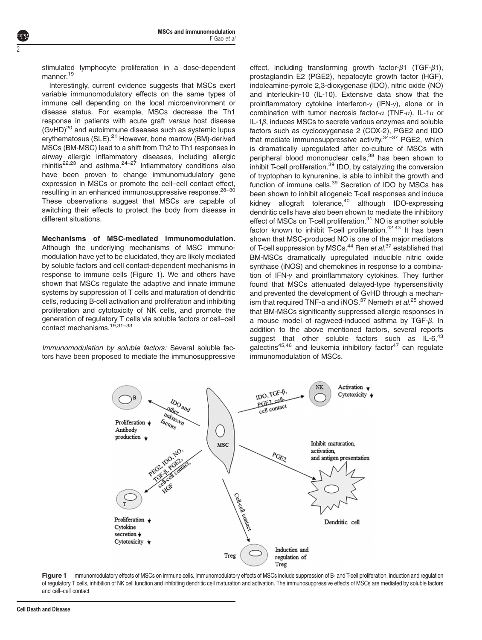stimulated lymphocyte proliferation in a dose-dependent manner.<sup>[19](#page-7-0)</sup>

2

Interestingly, current evidence suggests that MSCs exert variable immunomodulatory effects on the same types of immune cell depending on the local microenvironment or disease status. For example, MSCs decrease the Th1 response in patients with acute graft versus host disease (GvHD)<sup>[20](#page-7-0)</sup> and autoimmune diseases such as systemic lupus erythematosus (SLE).<sup>[21](#page-7-0)</sup> However, bone marrow (BM)-derived MSCs (BM-MSC) lead to a shift from Th2 to Th1 responses in airway allergic inflammatory diseases, including allergic rhinitis<sup>[22,23](#page-7-0)</sup> and asthma.<sup>[24](#page-8-0)–27</sup> Inflammatory conditions also have been proven to change immunomudulatory gene expression in MSCs or promote the cell–cell contact effect, resulting in an enhanced immunosuppressive response.<sup>28-30</sup> These observations suggest that MSCs are capable of switching their effects to protect the body from disease in different situations.

Mechanisms of MSC-mediated immunomodulation. Although the underlying mechanisms of MSC immunomodulation have yet to be elucidated, they are likely mediated by soluble factors and cell contact-dependent mechanisms in response to immune cells (Figure 1). We and others have shown that MSCs regulate the adaptive and innate immune systems by suppression of T cells and maturation of dendritic cells, reducing B-cell activation and proliferation and inhibiting proliferation and cytotoxicity of NK cells, and promote the generation of regulatory T cells via soluble factors or cell–cell contact mechanisms.<sup>[19](#page-7-0),31-[33](#page-8-0)</sup>

Immunomodulation by soluble factors: Several soluble factors have been proposed to mediate the immunosuppressive effect, including transforming growth factor-β1 (TGF-β1), prostaglandin E2 (PGE2), hepatocyte growth factor (HGF), indoleamine-pyrrole 2,3-dioxygenase (IDO), nitric oxide (NO) and interleukin-10 (IL-10). Extensive data show that the proinflammatory cytokine interferon-γ (IFN-γ), alone or in combination with tumor necrosis factor-α (TNF-α), IL-1α or IL-1β, induces MSCs to secrete various enzymes and soluble factors such as cyclooxygenase 2 (COX-2), PGE2 and IDO that mediate immunosuppressive activity. $34-37$  $34-37$  PGE2, which is dramatically upregulated after co-culture of MSCs with peripheral blood mononuclear cells,<sup>38</sup> has been shown to inhibit T-cell proliferation.<sup>[39](#page-8-0)</sup> IDO, by catalyzing the conversion of tryptophan to kynurenine, is able to inhibit the growth and function of immune cells.<sup>39</sup> Secretion of IDO by MSCs has been shown to inhibit allogeneic T-cell responses and induce kidney allograft tolerance,<sup>[40](#page-8-0)</sup> although IDO-expressing dendritic cells have also been shown to mediate the inhibitory effect of MSCs on T-cell proliferation.<sup>[41](#page-8-0)</sup> NO is another soluble factor known to inhibit T-cell proliferation.<sup>[42](#page-8-0),[43](#page-8-0)</sup> It has been shown that MSC-produced NO is one of the major mediators of T-cell suppression by MSCs. $^{44}$  Ren et al.<sup>[37](#page-8-0)</sup> established that BM-MSCs dramatically upregulated inducible nitric oxide synthase (iNOS) and chemokines in response to a combination of IFN-γ and proinflammatory cytokines. They further found that MSCs attenuated delayed-type hypersensitivity and prevented the development of GvHD through a mechanism that required TNF- $\alpha$  and iNOS.<sup>37</sup> Nemeth et al.<sup>[25](#page-8-0)</sup> showed that BM-MSCs significantly suppressed allergic responses in a mouse model of ragweed-induced asthma by TGF-β. In addition to the above mentioned factors, several reports suggest that other soluble factors such as  $IL-6,43$  $IL-6,43$ galectins<sup>[45,46](#page-8-0)</sup> and leukemia inhibitory factor<sup>[47](#page-8-0)</sup> can regulate immunomodulation of MSCs.



Figure 1 Immunomodulatory effects of MSCs on immune cells. Immunomodulatory effects of MSCs include suppression of B- and T-cell proliferation, induction and regulation of regulatory T cells, inhibition of NK cell function and inhibiting dendritic cell maturation and activation. The immunosuppressive effects of MSCs are mediated by soluble factors and cell–cell contact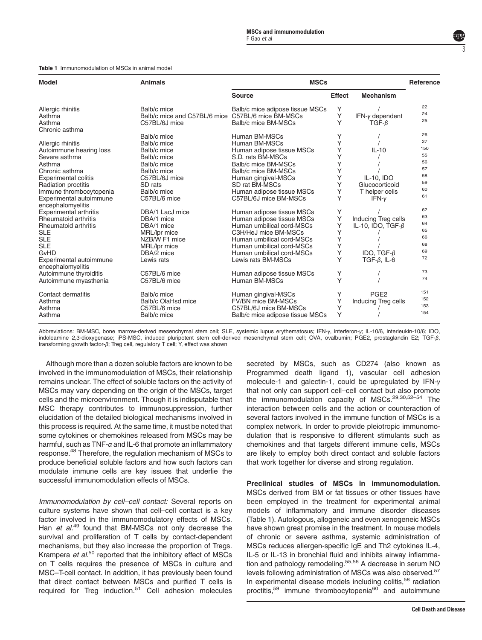|  | <b>Table 1</b> Immunomodulation of MSCs in animal model |  |  |  |
|--|---------------------------------------------------------|--|--|--|
|--|---------------------------------------------------------|--|--|--|

| <b>Model</b>                  | <b>Animals</b>                                    | <b>MSCs</b>                     |               |                          | Reference |
|-------------------------------|---------------------------------------------------|---------------------------------|---------------|--------------------------|-----------|
|                               |                                                   | <b>Source</b>                   | <b>Effect</b> | <b>Mechanism</b>         |           |
| Allergic rhinitis             | Balb/c mice                                       | Balb/c mice adipose tissue MSCs | Υ             |                          | 22        |
| Asthma                        | Balb/c mice and C57BL/6 mice C57BL/6 mice BM-MSCs |                                 | Υ             | $IFN-\gamma$ dependent   | 24        |
| Asthma                        | C57BL/6J mice                                     | Balb/c mice BM-MSCs             | Υ             | $TGF-\beta$              | 25        |
| Chronic asthma                |                                                   |                                 |               |                          |           |
|                               | Balb/c mice                                       | Human BM-MSCs                   | Υ             |                          | 26        |
| Allergic rhinitis             | Balb/c mice                                       | Human BM-MSCs                   | Υ             |                          | 27        |
| Autoimmune hearing loss       | Balb/c mice                                       | Human adipose tissue MSCs       | Υ             | $IL-10$                  | 150       |
| Severe asthma                 | Balb/c mice                                       | S.D. rats BM-MSCs               | Υ             |                          | 55        |
| Asthma                        | Balb/c mice                                       | Balb/c mice BM-MSCs             | Υ             |                          | 56        |
| Chronic asthma                | Balb/c mice                                       | Balb/c mice BM-MSCs             | Υ             |                          | 57        |
| <b>Experimental colitis</b>   | C57BL/6J mice                                     | Human gingival-MSCs             | Υ             | IL-10. IDO               | 58        |
| <b>Radiation proctitis</b>    | SD rats                                           | SD rat BM-MSCs                  | Υ             | Glucocorticoid           | 59        |
| Immune thrombocytopenia       | Balb/c mice                                       | Human adipose tissue MSCs       | Υ             | T helper cells           | 60        |
| Experimental autoimmune       | C57BL/6 mice                                      | C57BL/6J mice BM-MSCs           | Υ             | $IFN-v$                  | 61        |
| encephalomyelitis             |                                                   |                                 |               |                          |           |
| <b>Experimental arthritis</b> | DBA/1 LacJ mice                                   | Human adipose tissue MSCs       | Υ             |                          | 62        |
| Rheumatoid arthritis          | DBA/1 mice                                        | Human adipose tissue MSCs       | Y             | Inducing Treg cells      | 63        |
| <b>Rheumatoid arthritis</b>   | DBA/1 mice                                        | Human umbilical cord-MSCs       | Υ             | IL-10, IDO, TGF- $\beta$ | 64        |
| <b>SLE</b>                    | MRL/lpr mice                                      | C3H/HeJ mice BM-MSCs            | Υ             |                          | 65        |
| <b>SLE</b>                    | NZB/W F1 mice                                     | Human umbilical cord-MSCs       | Υ             |                          | 66        |
| <b>SLE</b>                    | MRL/lpr mice                                      | Human umbilical cord-MSCs       | Υ             |                          | 68        |
| GvHD                          | DBA/2 mice                                        | Human umbilical cord-MSCs       | Υ             | IDO, TGF- $\beta$        | 69        |
| Experimental autoimmune       | Lewis rats                                        | Lewis rats BM-MSCs              | Υ             | TGF- $\beta$ , IL-6      | 72        |
| encephalomyelitis             |                                                   |                                 |               |                          |           |
| Autoimmune thyroiditis        | C57BL/6 mice                                      | Human adipose tissue MSCs       | Υ             |                          | 73        |
| Autoimmune myasthenia         | C57BL/6 mice                                      | Human BM-MSCs                   | Υ             |                          | 74        |
|                               |                                                   |                                 |               |                          |           |
| Contact dermatitis            | Balb/c mice                                       | Human gingival-MSCs             | Υ             | PGE <sub>2</sub>         | 151       |
| Asthma                        | Balb/c OlaHsd mice                                | FV/BN mice BM-MSCs              | Υ             | Inducing Treg cells      | 152       |
| Asthma                        | C57BL/6 mice                                      | C57BL/6J mice BM-MSCs           | Υ             |                          | 153       |
| Asthma                        | Balb/c mice                                       | Balb/c mice adipose tissue MSCs | Υ             |                          | 154       |
|                               |                                                   |                                 |               |                          |           |

Abbreviations: BM-MSC, bone marrow-derived mesenchymal stem cell; SLE, systemic lupus erythematosus; IFN-γ, interferon-γ; IL-10/6, interleukin-10/6; IDO, indoleamine 2,3-dioxygenase; iPS-MSC, induced pluripotent stem cell-derived mesenchymal stem cell; OVA, ovalbumin; PGE2, prostaglandin E2; TGF-β, transforming growth factor-β; Treg cell, regulatory T cell; Y, effect was shown

Although more than a dozen soluble factors are known to be involved in the immunomodulation of MSCs, their relationship remains unclear. The effect of soluble factors on the activity of MSCs may vary depending on the origin of the MSCs, target cells and the microenvironment. Though it is indisputable that MSC therapy contributes to immunosuppression, further elucidation of the detailed biological mechanisms involved in this process is required. At the same time, it must be noted that some cytokines or chemokines released from MSCs may be harmful, such as TNF-α and IL-6 that promote an inflammatory response.[48](#page-8-0) Therefore, the regulation mechanism of MSCs to produce beneficial soluble factors and how such factors can modulate immune cells are key issues that underlie the successful immunomodulation effects of MSCs.

Immunomodulation by cell–cell contact: Several reports on culture systems have shown that cell–cell contact is a key factor involved in the immunomodulatory effects of MSCs. Han et al.<sup>[49](#page-8-0)</sup> found that BM-MSCs not only decrease the survival and proliferation of T cells by contact-dependent mechanisms, but they also increase the proportion of Tregs. Krampera et al.<sup>[50](#page-8-0)</sup> reported that the inhibitory effect of MSCs on T cells requires the presence of MSCs in culture and MSC–T-cell contact. In addition, it has previously been found that direct contact between MSCs and purified T cells is required for Treg induction.<sup>[51](#page-8-0)</sup> Cell adhesion molecules

secreted by MSCs, such as CD274 (also known as Programmed death ligand 1), vascular cell adhesion molecule-1 and galectin-1, could be upregulated by IFN-γ that not only can support cell–cell contact but also promote the immunomodulation capacity of MSCs.<sup>[29,30,52](#page-8-0)-54</sup> The interaction between cells and the action or counteraction of several factors involved in the immune function of MSCs is a complex network. In order to provide pleiotropic immunomodulation that is responsive to different stimulants such as chemokines and that targets different immune cells, MSCs are likely to employ both direct contact and soluble factors that work together for diverse and strong regulation.

Preclinical studies of MSCs in immunomodulation. MSCs derived from BM or fat tissues or other tissues have been employed in the treatment for experimental animal models of inflammatory and immune disorder diseases (Table 1). Autologous, allogeneic and even xenogeneic MSCs have shown great promise in the treatment. In mouse models of chronic or severe asthma, systemic administration of MSCs reduces allergen-specific IgE and Th2 cytokines IL-4, IL-5 or IL-13 in bronchial fluid and inhibits airway inflamma-tion and pathology remodeling.<sup>[55](#page-8-0),[56](#page-8-0)</sup> A decrease in serum NO levels following administration of MSCs was also observed.<sup>[57](#page-8-0)</sup> In experimental disease models including colitis,<sup>[58](#page-8-0)</sup> radiation proctitis,<sup>[59](#page-8-0)</sup> immune thrombocytopenia<sup>[60](#page-8-0)</sup> and autoimmune

3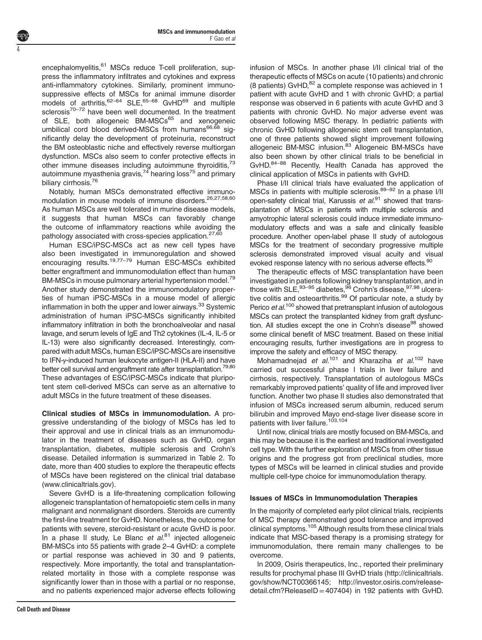encephalomyelitis,<sup>[61](#page-8-0)</sup> MSCs reduce T-cell proliferation, suppress the inflammatory infiltrates and cytokines and express anti-inflammatory cytokines. Similarly, prominent immunosuppressive effects of MSCs for animal immune disorder models of arthritis,  $62-64$  $62-64$  SLE,  $65-68$  $65-68$  GvHD $69$  and multiple sclerosis<sup>[70](#page-8-0)-72</sup> have been well documented. In the treatment of SLE, both allogeneic BM-MSCs<sup>[65](#page-8-0)</sup> and xenogeneic umbilical cord blood derived-MSCs from humans $^{66,68}$  significantly delay the development of proteinuria, reconstruct the BM osteoblastic niche and effectively reverse multiorgan dysfunction. MSCs also seem to confer protective effects in other immune diseases including autoimmune thyroiditis.<sup>[73](#page-8-0)</sup> autoimmune myasthenia gravis,  $74$  hearing loss<sup>[75](#page-9-0)</sup> and primary biliary cirrhosis.<sup>[76](#page-9-0)</sup>

4

Notably, human MSCs demonstrated effective immuno-modulation in mouse models of immune disorders.<sup>[26](#page-8-0),[27,58,60](#page-8-0)</sup> As human MSCs are well tolerated in murine disease models, it suggests that human MSCs can favorably change the outcome of inflammatory reactions while avoiding the pathology associated with cross-species application.<sup>[27,60](#page-8-0)</sup>

Human ESC/iPSC-MSCs act as new cell types have also been investigated in immunoregulation and showed encouraging results.[19,](#page-7-0)77–[79](#page-9-0) Human ESC-MSCs exhibited better engraftment and immunomodulation effect than human BM-MSCs in mouse pulmonary arterial hypertension model.<sup>[79](#page-9-0)</sup> Another study demonstrated the immunomodulatory properties of human iPSC-MSCs in a mouse model of allergic inflammation in both the upper and lower airways.<sup>[33](#page-8-0)</sup> Systemic administration of human iPSC-MSCs significantly inhibited inflammatory infiltration in both the bronchoalveolar and nasal lavage, and serum levels of IgE and Th2 cytokines (IL-4, IL-5 or IL-13) were also significantly decreased. Interestingly, compared with adult MSCs, human ESC/iPSC-MSCs are insensitive to IFN-γ-induced human leukocyte antigen-II (HLA-II) and have better cell survival and engraftment rate after transplantation.<sup>79,[80](#page-9-0)</sup> These advantages of ESC/iPSC-MSCs indicate that pluripotent stem cell-derived MSCs can serve as an alternative to adult MSCs in the future treatment of these diseases.

Clinical studies of MSCs in immunomodulation. A progressive understanding of the biology of MSCs has led to their approval and use in clinical trials as an immunomodulator in the treatment of diseases such as GvHD, organ transplantation, diabetes, multiple sclerosis and Crohn's disease. Detailed information is summarized in [Table 2](#page-4-0). To date, more than 400 studies to explore the therapeutic effects of MSCs have been registered on the clinical trial database (<www.clinicaltrials.gov>).

Severe GvHD is a life-threatening complication following allogeneic transplantation of hematopoietic stem cells in many malignant and nonmalignant disorders. Steroids are currently the first-line treatment for GvHD. Nonetheless, the outcome for patients with severe, steroid-resistant or acute GvHD is poor. In a phase II study, Le Blanc et  $al.^{81}$  $al.^{81}$  $al.^{81}$  injected allogeneic BM-MSCs into 55 patients with grade 2–4 GvHD: a complete or partial response was achieved in 30 and 9 patients, respectively. More importantly, the total and transplantationrelated mortality in those with a complete response was significantly lower than in those with a partial or no response, and no patients experienced major adverse effects following infusion of MSCs. In another phase I/II clinical trial of the therapeutic effects of MSCs on acute (10 patients) and chronic (8 patients) GvHD, $^{82}$  $^{82}$  $^{82}$  a complete response was achieved in 1 patient with acute GvHD and 1 with chronic GvHD; a partial response was observed in 6 patients with acute GvHD and 3 patients with chronic GvHD. No major adverse event was observed following MSC therapy. In pediatric patients with chronic GvHD following allogeneic stem cell transplantation, one of three patients showed slight improvement following allogeneic BM-MSC infusion.<sup>[83](#page-9-0)</sup> Allogeneic BM-MSCs have also been shown by other clinical trials to be beneficial in GvHD.84–[88](#page-9-0) Recently, Health Canada has approved the clinical application of MSCs in patients with GvHD.

Phase I/II clinical trials have evaluated the application of MSCs in patients with multiple sclerosis.<sup>89–92</sup> In a phase I/II open-safety clinical trial, Karussis et al.<sup>[91](#page-9-0)</sup> showed that transplantation of MSCs in patients with multiple sclerosis and amyotrophic lateral sclerosis could induce immediate immunomodulatory effects and was a safe and clinically feasible procedure. Another open-label phase II study of autologous MSCs for the treatment of secondary progressive multiple sclerosis demonstrated improved visual acuity and visual evoked response latency with no serious adverse effects.<sup>90</sup>

The therapeutic effects of MSC transplantation have been investigated in patients following kidney transplantation, and in those with SLE,<sup>[93](#page-9-0)–95</sup> diabetes,<sup>[96](#page-9-0)</sup> Crohn's disease,<sup>[97,98](#page-9-0)</sup> ulcera-tive colitis and osteoarthritis.<sup>[99](#page-9-0)</sup> Of particular note, a study by Perico et al.<sup>[100](#page-9-0)</sup> showed that pretransplant infusion of autologous MSCs can protect the transplanted kidney from graft dysfunction. All studies except the one in Crohn's disease<sup>98</sup> showed some clinical benefit of MSC treatment. Based on these initial encouraging results, further investigations are in progress to improve the safety and efficacy of MSC therapy.

Mohamadnejad et al.<sup>[101](#page-9-0)</sup> and Kharaziha et al.<sup>[102](#page-9-0)</sup> have carried out successful phase I trials in liver failure and cirrhosis, respectively. Transplantation of autologous MSCs remarkably improved patients' quality of life and improved liver function. Another two phase II studies also demonstrated that infusion of MSCs increased serum albumin, reduced serum bilirubin and improved Mayo end-stage liver disease score in patients with liver failure.<sup>[103,104](#page-9-0)</sup>

Until now, clinical trials are mostly focused on BM-MSCs, and this may be because it is the earliest and traditional investigated cell type. With the further exploration of MSCs from other tissue origins and the progress got from preclinical studies, more types of MSCs will be learned in clinical studies and provide multiple cell-type choice for immunomodulation therapy.

## Issues of MSCs in Immunomodulation Therapies

In the majority of completed early pilot clinical trials, recipients of MSC therapy demonstrated good tolerance and improved clinical symptoms[.105](#page-9-0) Although results from these clinical trials indicate that MSC-based therapy is a promising strategy for immunomodulation, there remain many challenges to be overcome.

In 2009, Osiris therapeutics, Inc., reported their preliminary results for prochymal phase III GvHD trials [\(http://clinicaltrials.](http://clinicaltrials.gov/show/NCT00366145) [gov/show/NCT00366145;](http://clinicaltrials.gov/show/NCT00366145) [http://investor.osiris.com/release](http://investor.osiris.com/releasedetail.cfm?ReleaseID�=�407404)[detail.cfm?ReleaseID](http://investor.osiris.com/releasedetail.cfm?ReleaseID�=�407404) =407404) in 192 patients with GvHD.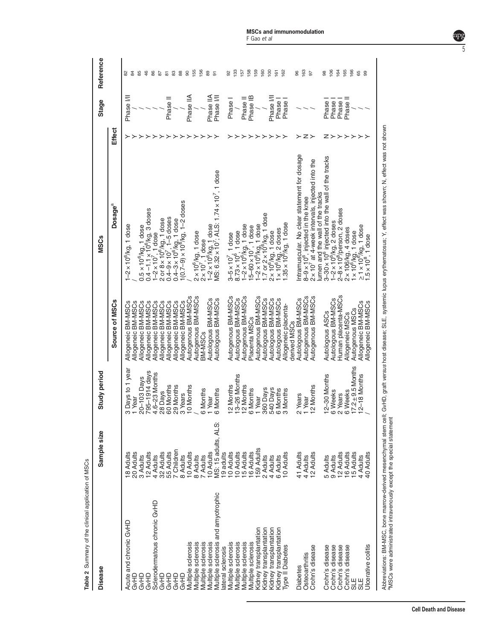<span id="page-4-0"></span>

| 12 Adults<br>8 Adults<br>20 Adults<br>3 Adults<br>4 Adults<br>Sclerodermatous chronic GvHD<br>Acute and chronic GvHD<br>GVHD<br>GYPO<br>GVHD |                        |                                          |                                                                                                                                             |               |            |                      |
|----------------------------------------------------------------------------------------------------------------------------------------------|------------------------|------------------------------------------|---------------------------------------------------------------------------------------------------------------------------------------------|---------------|------------|----------------------|
|                                                                                                                                              |                        | Source of MSCs                           | Dosage <sup>a</sup>                                                                                                                         | <b>Effect</b> |            |                      |
|                                                                                                                                              | Days to 1 year<br>Year | Allogeneic BM-MSCs<br>Allogeneic BM-MSCs | $-2 \times 10^6$ /kg, 1 dose                                                                                                                |               | Phase I/I  | £,                   |
|                                                                                                                                              | 20-103 Days            | Allogeneic BM-MSCs                       | $0.5 \times 10^6$ /kg, 1 dose                                                                                                               |               |            | 85                   |
|                                                                                                                                              | 95-1914 days           | Allogeneic BM-MSCs                       | 0.4 –1.1 x 10°/kg, 3 doses<br>1–2 x 10 <sup>7</sup> , 1 dose<br>2 or 8 x 10°/kg, 1 dose<br>0.4–3 x 10°/kg, 1 dose<br>0.4–3 x 10°/kg, 1 dose |               |            | $\frac{4}{6}$        |
|                                                                                                                                              | .6-23 Months<br>4      | Allogeneic BM-MSCs                       |                                                                                                                                             |               |            | 86                   |
| 32 Adults<br>GVHD                                                                                                                            | 28 Days                | Allogeneic BM-MSCs                       |                                                                                                                                             |               |            | 29                   |
| 55 Adults<br>GVHD                                                                                                                            | 60 Months              | Allogeneic BM-MSCs                       |                                                                                                                                             | ≻             | Phase II   | $\overline{\infty}$  |
| 7 Children<br>GVHD                                                                                                                           | 29 Months              | Allogeneic BM-MSCs                       |                                                                                                                                             | ≻             |            | 83<br>88             |
| 8 Adults<br>GvHD                                                                                                                             | Years                  | Allogeneic BM-MSCs                       | $1(0.7-9) \times 10^6$ /kg, $1-2$ doses                                                                                                     | ≻             |            | $\degree$            |
| 10 Adults<br>Multiple sclerosis                                                                                                              | 0 Months               | Autogenous BM-MSCs                       |                                                                                                                                             | ≻             | Phase IIA  | 155                  |
| 8 Adults<br>Multiple sclerosis                                                                                                               |                        | Autogenous BM-MSCs                       | $2 \times 10^{6}$ /kg, 1 dose<br>$2 \times 10^{7}$ , 1 dose                                                                                 | ≻             |            |                      |
| 7 Adults<br>Multiple sclerosis                                                                                                               | Months                 | BM-MSCs                                  | dose,                                                                                                                                       | ≻             |            | 156                  |
| 10 Adults<br>Multiple sclerosis                                                                                                              | Year                   | Autologous BM-MSCs                       | $1-2 \times 10^6$ /kg, 1 dose                                                                                                               | ≻             | Phase IIA  | 89<br>$\overline{5}$ |
| VIS: 15 adults, ALS:<br>Multiple sclerosis and amyotrophic                                                                                   | <b>Months</b>          | Autologous BM-MSCs                       | MS: 6.32×107; ALS: 1.74×107, 1 dose                                                                                                         |               | Phase I/II |                      |
| 9 adults<br>ateral sclerosis                                                                                                                 |                        |                                          |                                                                                                                                             |               |            | 92                   |
| <b>0 Adults</b><br>Multiple sclerosis                                                                                                        | 2 Months               | Autogenous BM-MSCs                       | $3 - 5 \times 10^7$ , 1 dose<br>8.73 × 10 <sup>6</sup> , 1 dose<br>$3 - 5 \times 10^{7}$                                                    |               | Phase I    | 133                  |
| 0 Adults<br>Multiple sclerosis                                                                                                               | 3-26 Months            | Autologous BM-MSCs                       |                                                                                                                                             |               |            |                      |
| 5 Adults<br>Multiple sclerosis                                                                                                               | 2 Months               | Autogenous BM-MSCs                       | $7-2 \times 10^6$ /kg, 1 dose                                                                                                               | ≻             | Phase II   | 157                  |
| 6 Adults<br>Multiple sclerosis                                                                                                               | <b>Months</b>          | Placenta MSCs                            | $5 - 60 \times 10^7$ , 1 dose                                                                                                               | ≻             | Phase IB   | 158                  |
| 59 Adults<br>Kidney transplantation                                                                                                          | Year                   | Autogenous BM-MSCs                       | $-2 \times 10^6$ /kg, 1 dose<br>.7 or 2 × 10 <sup>6</sup> /kg, 1 dose                                                                       | ≻             |            | 159                  |
| 2 Adults<br>Kidney transplantation                                                                                                           | 360 Days               | Autologous BM-MSCs                       |                                                                                                                                             | ≻             |            | 160                  |
| 4 Adults<br>Kidney transplantation                                                                                                           | 540 Days               | Autologous BM-MSCs                       | $2 \times 10^6$ /kg, 1 dose                                                                                                                 | ≻             | Phase I/I  | 100                  |
| 6 Adults<br>Kidney transplantation                                                                                                           | Months                 | Autologous BM-MSCs                       | $1 \times 10^6$ /kg, 2 doses                                                                                                                | ≻             | Phase      | 161                  |
| 10 Adults<br><b>Type II Diabetes</b>                                                                                                         | Months                 | Allogeneic placenta-                     | $.35 \times 10^6$ /kg, 1 dose                                                                                                               | ≻             | Phase I    | 162                  |
| 41 Adults<br><b>Diabetes</b>                                                                                                                 | Years                  | Autologous BM-MSCs<br>derived MSCs       | Intramuscular. No clear statement for dosage                                                                                                | ≻             |            | 8                    |
| 4 Adults<br>Osteoarthritis                                                                                                                   | Year                   | Autogenous BM-MSCs                       | 8-9 x 10°, injected in the knee                                                                                                             |               |            | 163                  |
| 12 Adults<br>Crohn's disease                                                                                                                 | 2 Months               | Autogenous BM-MSCs                       | 2 x 107 at 4-week intervals, injected into the                                                                                              | z>            |            | 97                   |
|                                                                                                                                              |                        |                                          | umen and the wall of the tracks                                                                                                             |               |            |                      |
| 5 Adults<br>Crohn's disease                                                                                                                  | 2-30 Months            | Autologous ASCs                          | $3-30 \times 10^6$ injected into the wall of the tracks                                                                                     | z>            | Phase      | 8                    |
| 9 Adults<br>Crohn's disease                                                                                                                  | Weeks<br>ဖ             | Autologous BM-MSCs                       | $1 - 2 \times 10^6$ /kg, 2 doses<br>2-8 x 10 <sup>6</sup> /person, 2 doses                                                                  |               | Phase I    | 106                  |
| 12 Adults<br>Crohn's disease                                                                                                                 | Years<br>N             | Human placenta-MSCs                      |                                                                                                                                             | ≻             | Phase      | 164                  |
| 16 Adults<br>Crohn's disease                                                                                                                 | Weeks<br>ဖ             | Allogeneic MSCs                          | $2 \times 10$ 6/kg, 4 doses                                                                                                                 | ≻             | Phase II   | 165                  |
| <b>15 Adults</b><br>SLE                                                                                                                      | $7.2 \pm 9.5$ Months   | Autogenous MSCs                          |                                                                                                                                             | ≻             |            | 166                  |
| 4 Adults<br>SLE                                                                                                                              | 2-18 Months            | Allogeneic BM-MSCs                       | $1 \times 10^6$ /kg, 1 dose<br>$\ge 1 \times 10^6$ /kg, 1 dose                                                                              | ≻             |            | 65                   |
| 40 Adults<br>JIcerative colitis                                                                                                              |                        | Allogeneic BM-MSCs                       | $.5 \times 10^8$ , 1 dose                                                                                                                   |               |            | 8                    |
|                                                                                                                                              |                        |                                          |                                                                                                                                             |               |            |                      |

Table 2 Summary of the clinical application of MSCs

Table 2 Summary of the clinical application of MSCs

mpg  $\frac{1}{5}$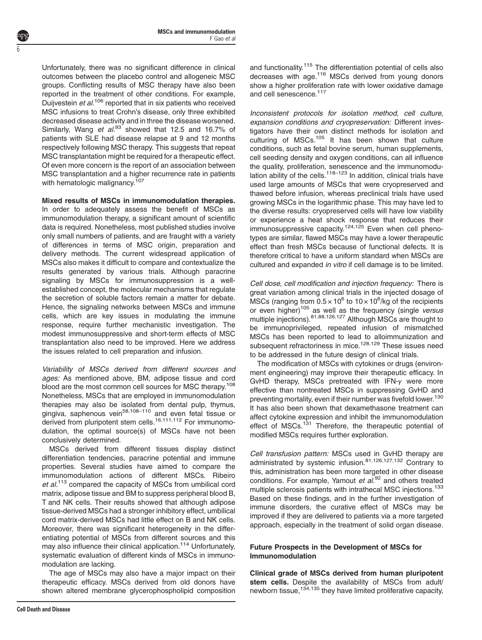Unfortunately, there was no significant difference in clinical outcomes between the placebo control and allogeneic MSC groups. Conflicting results of MSC therapy have also been reported in the treatment of other conditions. For example, Duijvestein et al.<sup>[106](#page-9-0)</sup> reported that in six patients who received MSC infusions to treat Crohn's disease, only three exhibited decreased disease activity and in three the disease worsened. Similarly, Wang et al. $93$  showed that 12.5 and 16.7% of patients with SLE had disease relapse at 9 and 12 months respectively following MSC therapy. This suggests that repeat MSC transplantation might be required for a therapeutic effect. Of even more concern is the report of an association between MSC transplantation and a higher recurrence rate in patients with hematologic malignancy.<sup>[107](#page-9-0)</sup>

**b** 

Mixed results of MSCs in immunomodulation therapies. In order to adequately assess the benefit of MSCs as

immunomodulation therapy, a significant amount of scientific data is required. Nonetheless, most published studies involve only small numbers of patients, and are fraught with a variety of differences in terms of MSC origin, preparation and delivery methods. The current widespread application of MSCs also makes it difficult to compare and contextualize the results generated by various trials. Although paracrine signaling by MSCs for immunosuppression is a wellestablished concept, the molecular mechanisms that regulate the secretion of soluble factors remain a matter for debate. Hence, the signaling networks between MSCs and immune cells, which are key issues in modulating the immune response, require further mechanistic investigation. The modest immunosuppressive and short-term effects of MSC transplantation also need to be improved. Here we address the issues related to cell preparation and infusion.

Variability of MSCs derived from different sources and ages: As mentioned above, BM, adipose tissue and cord blood are the most common cell sources for MSC therapy.<sup>[108](#page-9-0)</sup> Nonetheless, MSCs that are employed in immunomodulation therapies may also be isolated from dental pulp, thymus, gingiva, saphenous vein $58,108-110$  $58,108-110$  $58,108-110$  and even fetal tissue or derived from pluripotent stem cells.<sup>[16,](#page-7-0)[111,112](#page-9-0)</sup> For immunomodulation, the optimal source(s) of MSCs have not been conclusively determined.

MSCs derived from different tissues display distinct differentiation tendencies, paracrine potential and immune properties. Several studies have aimed to compare the immunomodulation actions of different MSCs. Ribeiro et al.<sup>[113](#page-9-0)</sup> compared the capacity of MSCs from umbilical cord matrix, adipose tissue and BM to suppress peripheral blood B, T and NK cells. Their results showed that although adipose tissue-derived MSCs had a stronger inhibitory effect, umbilical cord matrix-derived MSCs had little effect on B and NK cells. Moreover, there was significant heterogeneity in the differentiating potential of MSCs from different sources and this may also influence their clinical application.<sup>[114](#page-9-0)</sup> Unfortunately, systematic evaluation of different kinds of MSCs in immunomodulation are lacking.

The age of MSCs may also have a major impact on their therapeutic efficacy. MSCs derived from old donors have shown altered membrane glycerophospholipid composition and functionality.[115](#page-9-0) The differentiation potential of cells also decreases with age.[116](#page-9-0) MSCs derived from young donors show a higher proliferation rate with lower oxidative damage and cell senescence.<sup>[117](#page-9-0)</sup>

Inconsistent protocols for isolation method, cell culture, expansion conditions and cryopreservation: Different investigators have their own distinct methods for isolation and culturing of MSCs.<sup>105</sup> It has been shown that culture conditions, such as fetal bovine serum, human supplements, cell seeding density and oxygen conditions, can all influence the quality, proliferation, senescence and the immunomodulation ability of the cells.<sup>118–123</sup> In addition, clinical trials have used large amounts of MSCs that were cryopreserved and thawed before infusion, whereas preclinical trials have used growing MSCs in the logarithmic phase. This may have led to the diverse results: cryopreserved cells will have low viability or experience a heat shock response that reduces their immunosuppressive capacity.<sup>[124](#page-10-0),[125](#page-10-0)</sup> Even when cell phenotypes are similar, flawed MSCs may have a lower therapeutic effect than fresh MSCs because of functional defects. It is therefore critical to have a uniform standard when MSCs are cultured and expanded in vitro if cell damage is to be limited.

Cell dose, cell modification and injection frequency: There is great variation among clinical trials in the injected dosage of MSCs (ranging from  $0.5 \times 10^6$  to  $10 \times 10^6$ /kg of the recipients or even higher)<sup>[105](#page-9-0)</sup> as well as the frequency (single versus multiple injections).<sup>[81,88,](#page-9-0)[126,127](#page-10-0)</sup> Although MSCs are thought to be immunoprivileged, repeated infusion of mismatched MSCs has been reported to lead to alloimmunization and subsequent refractoriness in mice.<sup>[128,129](#page-10-0)</sup> These issues need to be addressed in the future design of clinical trials.

The modification of MSCs with cytokines or drugs (environment engineering) may improve their therapeutic efficacy. In GvHD therapy, MSCs pretreated with IFN-γ were more effective than nontreated MSCs in suppressing GvHD and preventing mortality, even if their number was fivefold lower.<sup>[130](#page-10-0)</sup> It has also been shown that dexamethasone treatment can affect cytokine expression and inhibit the immunomodulation effect of MSCs.<sup>131</sup> Therefore, the therapeutic potential of modified MSCs requires further exploration.

Cell transfusion pattern: MSCs used in GvHD therapy are administrated by systemic infusion.[81](#page-9-0),[126](#page-10-0),[127](#page-10-0),[132](#page-10-0) Contrary to this, administration has been more targeted in other disease conditions. For example, Yamout et  $aI^{92}$  $aI^{92}$  $aI^{92}$  and others treated multiple sclerosis patients with intrathecal MSC injections.<sup>[133](#page-10-0)</sup> Based on these findings, and in the further investigation of immune disorders, the curative effect of MSCs may be improved if they are delivered to patients via a more targeted approach, especially in the treatment of solid organ disease.

## Future Prospects in the Development of MSCs for Immunomodulation

Clinical grade of MSCs derived from human pluripotent stem cells. Despite the availability of MSCs from adult/ newborn tissue[,134](#page-10-0),[135](#page-10-0) they have limited proliferative capacity,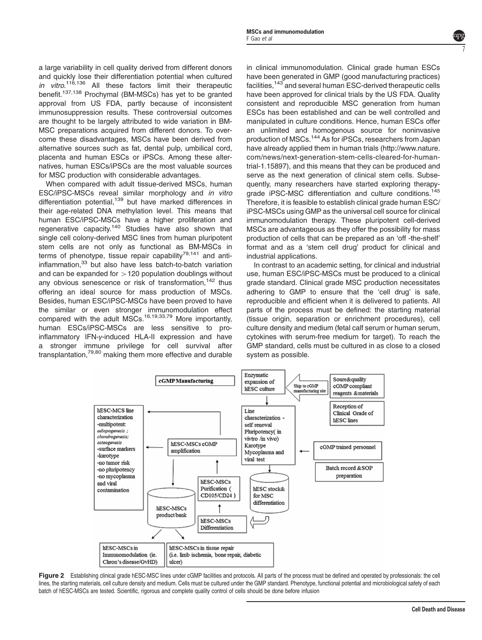<span id="page-6-0"></span>a large variability in cell quality derived from different donors and quickly lose their differentiation potential when cultured in vitro.<sup>[116](#page-9-0)[,136](#page-10-0)</sup> All these factors limit their therapeutic benefit.[137](#page-10-0),[138](#page-10-0) Prochymal (BM-MSCs) has yet to be granted approval from US FDA, partly because of inconsistent immunosuppression results. These controversial outcomes are thought to be largely attributed to wide variation in BM-MSC preparations acquired from different donors. To overcome these disadvantages, MSCs have been derived from alternative sources such as fat, dental pulp, umbilical cord, placenta and human ESCs or iPSCs. Among these alternatives, human ESCs/iPSCs are the most valuable sources for MSC production with considerable advantages.

When compared with adult tissue-derived MSCs, human ESC/iPSC-MSCs reveal similar morphology and in vitro differentiation potential,[139](#page-10-0) but have marked differences in their age-related DNA methylation level. This means that human ESC/iPSC-MSCs have a higher proliferation and regenerative capacity.[140](#page-10-0) Studies have also shown that single cell colony-derived MSC lines from human pluripotent stem cells are not only as functional as BM-MSCs in terms of phenotype, tissue repair capability<sup>[79](#page-9-0)[,141](#page-10-0)</sup> and anti-inflammation,<sup>[33](#page-8-0)</sup> but also have less batch-to-batch variation and can be expanded for  $>120$  population doublings without any obvious senescence or risk of transformation,<sup>[142](#page-10-0)</sup> thus offering an ideal source for mass production of MSCs. Besides, human ESC/iPSC-MSCs have been proved to have the similar or even stronger immunomodulation effect compared with the adult MSCs.<sup>16,19[,33,](#page-8-0)[79](#page-9-0)</sup> More importantly, human ESCs/iPSC-MSCs are less sensitive to proinflammatory IFN-γ-induced HLA-II expression and have a stronger immune privilege for cell survival after transplantation, $79,80$  making them more effective and durable in clinical immunomodulation. Clinical grade human ESCs have been generated in GMP (good manufacturing practices) facilities.<sup>[143](#page-10-0)</sup> and several human ESC-derived therapeutic cells have been approved for clinical trials by the US FDA. Quality consistent and reproducible MSC generation from human ESCs has been established and can be well controlled and manipulated in culture conditions. Hence, human ESCs offer an unlimited and homogenous source for noninvasive production of MSCs[.144](#page-10-0) As for iPSCs, researchers from Japan have already applied them in human trials [\(http://www.nature.](http://www.nature.com/news/next-generation-stem-cells-cleared-for-human-trial-1.15897) [com/news/next-generation-stem-cells-cleared-for-human](http://www.nature.com/news/next-generation-stem-cells-cleared-for-human-trial-1.15897)[trial-1.15897](http://www.nature.com/news/next-generation-stem-cells-cleared-for-human-trial-1.15897)), and this means that they can be produced and serve as the next generation of clinical stem cells. Subsequently, many researchers have started exploring therapy-grade iPSC-MSC differentiation and culture conditions.<sup>[145](#page-10-0)</sup> Therefore, it is feasible to establish clinical grade human ESC/ iPSC-MSCs using GMP as the universal cell source for clinical immunomodulation therapy. These pluripotent cell-derived MSCs are advantageous as they offer the possibility for mass production of cells that can be prepared as an 'off -the-shelf' format and as a 'stem cell drug' product for clinical and industrial applications.

In contrast to an academic setting, for clinical and industrial use, human ESC/iPSC-MSCs must be produced to a clinical grade standard. Clinical grade MSC production necessitates adhering to GMP to ensure that the 'cell drug' is safe, reproducible and efficient when it is delivered to patients. All parts of the process must be defined: the starting material (tissue origin, separation or enrichment procedures), cell culture density and medium (fetal calf serum or human serum, cytokines with serum-free medium for target). To reach the GMP standard, cells must be cultured in as close to a closed system as possible.



Figure 2 Establishing clinical grade hESC-MSC lines under cGMP facilities and protocols. All parts of the process must be defined and operated by professionals: the cell lines, the starting materials, cell culture density and medium. Cells must be cultured under the GMP standard. Phenotype, functional potential and microbiological safety of each batch of hESC-MSCs are tested. Scientific, rigorous and complete quality control of cells should be done before infusion

7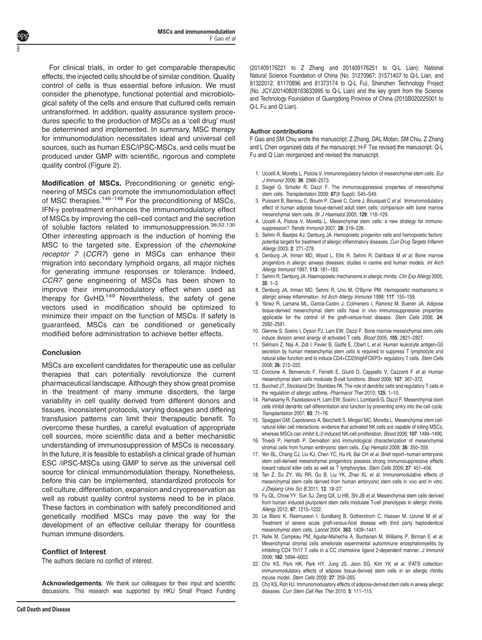For clinical trials, in order to get comparable therapeutic effects, the injected cells should be of similar condition. Quality control of cells is thus essential before infusion. We must consider the phenotype, functional potential and microbiological safety of the cells and ensure that cultured cells remain untransformed. In addition, quality assurance system procedures specific to the production of MSCs as a 'cell drug' must be determined and implemented. In summary, MSC therapy for immunomodulation necessitates ideal and universal cell sources, such as human ESC/iPSC-MSCs, and cells must be produced under GMP with scientific, rigorous and complete quality control [\(Figure 2\)](#page-6-0).

Modification of MSCs. Preconditioning or genetic engineering of MSCs can promote the immunomodulation effect of MSC therapies.<sup>146–[148](#page-10-0)</sup> For the preconditioning of MSCs, IFN-γ pretreatment enhances the immunomodulatory effect of MSCs by improving the cell–cell contact and the secretion of soluble factors related to immunosuppression.<sup>[36](#page-8-0),[52,](#page-8-0)[130](#page-10-0)</sup> Other interesting approach is the induction of homing the MSC to the targeted site. Expression of the chemokine receptor 7 (CCR7) gene in MSCs can enhance their migration into secondary lymphoid organs, all major niches for generating immune responses or tolerance. Indeed, CCR7 gene engineering of MSCs has been shown to improve their immunomodulatory effect when used as therapy for GvHD.<sup>[149](#page-10-0)</sup> Nevertheless, the safety of gene vectors used in modification should be optimized to minimize their impact on the function of MSCs. If safety is guaranteed, MSCs can be conditioned or genetically modified before administration to achieve better effects.

## Conclusion

<span id="page-7-0"></span>ŏ

MSCs are excellent candidates for therapeutic use as cellular therapies that can potentially revolutionize the current pharmaceutical landscape. Although they show great promise in the treatment of many immune disorders, the large variability in cell quality derived from different donors and tissues, inconsistent protocols, varying dosages and differing transfusion patterns can limit their therapeutic benefit. To overcome these hurdles, a careful evaluation of appropriate cell sources, more scientific data and a better mechanistic understanding of immunosuppression of MSCs is necessary. In the future, it is feasible to establish a clinical grade of human ESC /iPSC-MSCs using GMP to serve as the universal cell source for clinical immunomodulation therapy. Nonetheless, before this can be implemented, standardized protocols for cell culture, differentiation, expansion and cryopreservation as well as robust quality control systems need to be in place. These factors in combination with safely preconditioned and genetically modified MSCs may pave the way for the development of an effective cellular therapy for countless human immune disorders.

#### Conflict of Interest

The authors declare no conflict of interest.

Acknowledgements. We thank our colleagues for their input and scientific discussions. This research was supported by HKU Small Project Funding (201409176221 to Z Zhang and 201409176251 to Q-L Lian); National Natural Science Foundation of China (No. 31270967; 31571407 to Q-L Lian, and 81322012, 81170896 and 81373174 to Q-L Fu), Shenzhen Technology Project (No. JCYJ20140828163633995 to Q-L Lian) and the key grant from the Science and Technology Foundation of Guangdong Province of China (2015B020225001 to Q-L Fu and Q Lian).

#### Author contributions

F Gao and SM Chiu wrote the manuscript; Z Zhang, DAL Motan, SM Chiu, Z Zhang and L Chen organized data of the manuscript; H-F Tse revised the manuscript; Q-L Fu and Q Lian reorganized and revised the manuscript.

- 1. Uccelli A, Moretta L, Pistoia V. Immunoregulatory function of mesenchymal stem cells. Eur J Immunol 2006; 36: 2566–2573.
- 2. Siegel G, Schafer R, Dazzi F. The immunosuppressive properties of mesenchymal stem cells. Transplantation 2009; 87(9 Suppl): S45-S49.
- 3. Puissant B, Barreau C, Bourin P, Clavel C, Corre J, Bousquet C et al. Immunomodulatory effect of human adipose tissue-derived adult stem cells: comparison with bone marrow mesenchymal stem cells. Br J Haematol 2005; 129: 118–129.
- 4. Uccelli A, Pistoia V, Moretta L. Mesenchymal stem cells: a new strategy for immunosuppression? Trends Immunol 2007; 28: 219–226.
- 5. Sehmi R, Baatjes AJ, Denburg JA. Hemopoietic progenitor cells and hemopoietic factors: potential targets for treatment of allergic inflammatory diseases. Curr Drug Targets Inflamm Allergy 2003; 2: 271–278.
- 6. Denburg JA, Inman MD, Wood L, Ellis R, Sehmi R, Dahlback M et al. Bone marrow progenitors in allergic airways diseases: studies in canine and human models. Int Arch Allergy Immunol 1997; 113: 181–183.
- 7. Sehmi R, Denburg JA. Haemopoietic mechanisms in allergic rhinitis. Clin Exp Allergy 2005; 35: 1–3.
- 8. Denburg JA, Inman MD, Sehmi R, Uno M, O'Byrne PM. Hemopoietic mechanisms in allergic airway inflammation. Int Arch Allergy Immunol 1998; 117: 155–159.
- 9. Yanez R, Lamana ML, Garcia-Castro J, Colmenero I, Ramirez M, Bueren JA. Adipose tissue-derived mesenchymal stem cells have in vivo immunosuppressive properties applicable for the control of the graft-versus-host disease. Stem Cells 2006; 24: 2582–2591.
- 10. Glennie S, Soeiro I, Dyson PJ, Lam EW, Dazzi F. Bone marrow mesenchymal stem cells induce division arrest anergy of activated T cells. Blood 2005; 105: 2821–2827.
- 11. Selmani Z, Naji A, Zidi I, Favier B, Gaiffe E, Obert L et al. Human leukocyte antigen-G5 secretion by human mesenchymal stem cells is required to suppress T lymphocyte and natural killer function and to induce CD4+CD25highFOXP3+ regulatory T cells. Stem Cells 2008; 26: 212–222.
- 12. Corcione A, Benvenuto F, Ferretti E, Giunti D, Cappiello V, Cazzanti F et al. Human mesenchymal stem cells modulate B-cell functions. Blood 2006; 107: 367–372.
- 13. Burchell JT, Strickland DH, Stumbles PA. The role of dendritic cells and regulatory T cells in the regulation of allergic asthma. Pharmacol Ther 2010; 125: 1–10.
- 14. Ramasamy R, Fazekasova H, Lam EW, Soeiro I, Lombardi G, Dazzi F. Mesenchymal stem cells inhibit dendritic cell differentiation and function by preventing entry into the cell cycle. Transplantation 2007; 83: 71–76.
- 15. Spaggiari GM, Capobianco A, Becchetti S, Mingari MC, Moretta L. Mesenchymal stem cellnatural killer cell interactions: evidence that activated NK cells are capable of killing MSCs, whereas MSCs can inhibit IL-2-induced NK-cell proliferation. Blood 2006; 107: 1484–1490.
- 16. Trivedi P, Hematti P. Derivation and immunological characterization of mesenchymal stromal cells from human embryonic stem cells. Exp Hematol 2008; 36: 350–359.
- 17. Yen BL, Chang CJ, Liu KJ, Chen YC, Hu HI, Bai CH et al. Brief report-human embryonic stem cell-derived mesenchymal progenitors possess strong immunosuppressive effects toward natural killer cells as well as T lymphocytes. Stem Cells 2009; 27: 451–456.
- 18. Tan Z, Su ZY, Wu RR, Gu B, Liu YK, Zhao XL et al. Immunomodulative effects of mesenchymal stem cells derived from human embryonic stem cells in vivo and in vitro. J Zhejiang Univ Sci B 2011; 12: 18–27.
- 19. Fu QL, Chow YY, Sun SJ, Zeng QX, Li HB, Shi JB et al. Mesenchymal stem cells derived from human induced pluripotent stem cells modulate T-cell phenotypes in allergic rhinitis. Allergy 2012; 67: 1215–1222.
- 20. Le Blanc K, Rasmusson I, Sundberg B, Gotherstrom C, Hassan M, Uzunel M et al. Treatment of severe acute graft-versus-host disease with third party haploidentical mesenchymal stem cells. Lancet 2004; 363: 1439–1441.
- 21. Rafei M, Campeau PM, Aguilar-Mahecha A, Buchanan M, Williams P, Birman E et al. Mesenchymal stromal cells ameliorate experimental autoimmune encephalomyelitis by inhibiting CD4 Th17 T cells in a CC chemokine ligand 2-dependent manner. J Immunol 2009; 182: 5994–6002.
- 22. Cho KS, Park HK, Park HY, Jung JS, Jeon SG, Kim YK et al. IFATS collection: immunomodulatory effects of adipose tissue-derived stem cells in an allergic rhinitis mouse model. Stem Cells 2009; 27: 259–265.
- 23. Cho KS, Roh HJ. Immunomodulatory effects of adipose-derived stem cells in airway allergic diseases. Curr Stem Cell Res Ther 2010; 5: 111–115.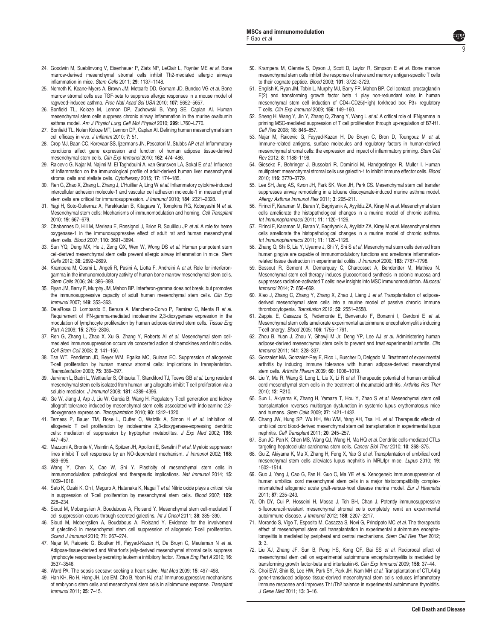- <span id="page-8-0"></span>25. Nemeth K, Keane-Myers A, Brown JM, Metcalfe DD, Gorham JD, Bundoc VG et al. Bone marrow stromal cells use TGF-beta to suppress allergic responses in a mouse model of ragweed-induced asthma. Proc Natl Acad Sci USA 2010; 107: 5652–5657.
- 26. Bonfield TL, Koloze M, Lennon DP, Zuchowski B, Yang SE, Caplan AI. Human mesenchymal stem cells suppress chronic airway inflammation in the murine ovalbumin asthma model. Am J Physiol Lung Cell Mol Physiol 2010; 299: L760–L770.
- 27. Bonfield TL, Nolan Koloze MT, Lennon DP, Caplan AI. Defining human mesenchymal stem cell efficacy in vivo. J Inflamm 2010; 7: 51.
- 28. Crop MJ, Baan CC, Korevaar SS, Iizermans JN, Pescatori M, Stubbs AP et al. Inflammatory conditions affect gene expression and function of human adipose tissue-derived mesenchymal stem cells. Clin Exp Immunol 2010; 162: 474-486
- 29. Raicevic G. Najar M. Najimi M. El Taghdouini A, van Grunsven LA, Sokal E et al. Influence of inflammation on the immunological profile of adult-derived human liver mesenchymal stromal cells and stellate cells. Cytotherapy 2015; 17: 174–185.
- 30. Ren G, Zhao X, Zhang L, Zhang J, L'Huillier A, Ling W et al. Inflammatory cytokine-induced intercellular adhesion molecule-1 and vascular cell adhesion molecule-1 in mesenchymal stem cells are critical for immunosuppression. J Immunol 2010; 184: 2321–2328.
- 31. Yagi H, Soto-Gutierrez A, Parekkadan B, Kitagawa Y, Tompkins RG, Kobayashi N et al. Mesenchymal stem cells: Mechanisms of immunomodulation and homing. Cell Transplant 2010; 19: 667–679.
- 32. Chabannes D, Hill M, Merieau E, Rossignol J, Brion R, Soulillou JP et al. A role for heme oxygenase-1 in the immunosuppressive effect of adult rat and human mesenchymal stem cells. Blood 2007; 110: 3691–3694.
- 33. Sun YQ, Deng MX, He J, Zeng QX, Wen W, Wong DS et al. Human pluripotent stem cell-derived mesenchymal stem cells prevent allergic airway inflammation in mice. Stem Cells 2012; 30: 2692–2699.
- 34. Krampera M, Cosmi L, Angeli R, Pasini A, Liotta F, Andreini A et al. Role for interferongamma in the immunomodulatory activity of human bone marrow mesenchymal stem cells. Stem Cells 2006; 24: 386–398.
- 35. Ryan JM, Barry F, Murphy JM, Mahon BP. Interferon-gamma does not break, but promotes the immunosuppressive capacity of adult human mesenchymal stem cells. Clin Exp Immunol 2007; 149: 353–363.
- 36. DelaRosa O, Lombardo E, Beraza A, Mancheno-Corvo P, Ramirez C, Menta R et al. Requirement of IFN-gamma-mediated indoleamine 2,3-dioxygenase expression in the modulation of lymphocyte proliferation by human adipose-derived stem cells. Tissue Eng Part A 2009: 15: 2795-2806
- 37. Ren G, Zhang L, Zhao X, Xu G, Zhang Y, Roberts AI et al. Mesenchymal stem cellmediated immunosuppression occurs via concerted action of chemokines and nitric oxide. Cell Stem Cell 2008; 2: 141–150.
- 38. Tse WT, Pendleton JD, Beyer WM, Egalka MC, Guinan EC. Suppression of allogeneic T-cell proliferation by human marrow stromal cells: implications in transplantation. Transplantation 2003; 75: 389–397.
- 39. Jarvinen L, Badri L, Wettlaufer S, Ohtsuka T, Standiford TJ, Toews GB et al. Lung resident mesenchymal stem cells isolated from human lung allografts inhibit T cell proliferation via a soluble mediator. J Immunol 2008; 181: 4389-4396.
- 40. Ge W, Jiang J, Arp J, Liu W, Garcia B, Wang H. Regulatory T-cell generation and kidney allograft tolerance induced by mesenchymal stem cells associated with indoleamine 2,3 dioxygenase expression. Transplantation 2010; 90: 1312–1320.
- 41. Terness P, Bauer TM, Rose L, Dufter C, Watzlik A, Simon H et al. Inhibition of allogeneic T cell proliferation by indoleamine 2,3-dioxygenase-expressing dendritic cells: mediation of suppression by tryptophan metabolites. J Exp Med 2002; 196: 447–457.
- 42. Mazzoni A, Bronte V, Visintin A, Spitzer JH, Apolloni E, Serafini P et al. Myeloid suppressor lines inhibit T cell responses by an NO-dependent mechanism. J Immunol 2002; 168: 689–695.
- 43. Wang Y, Chen X, Cao W, Shi Y. Plasticity of mesenchymal stem cells in immunomodulation: pathological and therapeutic implications. Nat Immunol 2014: 15: 1009–1016.
- 44. Sato K, Ozaki K, Oh I, Meguro A, Hatanaka K, Nagai T et al. Nitric oxide plays a critical role in suppression of T-cell proliferation by mesenchymal stem cells. Blood 2007; 109: 228–234.
- 45. Sioud M, Mobergslien A, Boudabous A, Floisand Y. Mesenchymal stem cell-mediated T cell suppression occurs through secreted galectins. Int J Oncol 2011; 38: 385-390.
- 46. Sioud M, Mobergslien A, Boudabous A, Floisand Y. Evidence for the involvement of galectin-3 in mesenchymal stem cell suppression of allogeneic T-cell proliferation. Scand J Immunol 2010; 71: 267–274.
- 47. Najar M, Raicevic G, Boufker HI, Fayyad-Kazan H, De Bruyn C, Meuleman N et al. Adipose-tissue-derived and Wharton's jelly-derived mesenchymal stromal cells suppress lymphocyte responses by secreting leukemia inhibitory factor. Tissue Eng Part A 2010; 16: 3537–3546.
- 48. Ward PA. The sepsis seesaw: seeking a heart salve. Nat Med 2009; 15: 497-498.
- 49. Han KH, Ro H, Hong JH, Lee EM, Cho B, Yeom HJ et al. Immunosuppressive mechanisms of embryonic stem cells and mesenchymal stem cells in alloimmune response. Transplant Immunol 2011; 25: 7–15.
- 50. Krampera M, Glennie S, Dyson J, Scott D, Laylor R, Simpson E et al. Bone marrow mesenchymal stem cells inhibit the response of naive and memory antigen-specific T cells to their cognate peptide. Blood 2003; 101: 3722-3729.
- 51. English K, Ryan JM, Tobin L, Murphy MJ, Barry FP, Mahon BP. Cell contact, prostaglandin E(2) and transforming growth factor beta 1 play non-redundant roles in human mesenchymal stem cell induction of CD4+CD25(High) forkhead box P3+ regulatory T cells. Clin Exp Immunol 2009; 156: 149–160.
- 52. Sheng H, Wang Y, Jin Y, Zhang Q, Zhang Y, Wang L et al. A critical role of IFNgamma in priming MSC-mediated suppression of T cell proliferation through up-regulation of B7-H1. Cell Res 2008; 18: 846–857.
- 53. Najar M, Raicevic G, Fayyad-Kazan H, De Bruyn C, Bron D, Toungouz M et al. Immune-related antigens, surface molecules and regulatory factors in human-derived mesenchymal stromal cells: the expression and impact of inflammatory priming. Stem Cell Rev 2012; 8: 1188–1198.
- 54. Gieseke F, Bohringer J, Bussolari R, Dominici M, Handgretinger R, Muller I. Human multipotent mesenchymal stromal cells use galectin-1 to inhibit immune effector cells. Blood 2010; 116: 3770–3779.
- 55. Lee SH, Jang AS, Kwon JH, Park SK, Won JH, Park CS. Mesenchymal stem cell transfer suppresses airway remodeling in a toluene diisocyanate-induced murine asthma model. Allergy Asthma Immunol Res 2011; 3: 205–211.
- 56. Firinci F, Karaman M, Baran Y, Bagriyanik A, Ayyildiz ZA, Kiray M et al. Mesenchymal stem cells ameliorate the histopathological changes in a murine model of chronic asthma. Int Immunopharmacol 2011; 11: 1120–1126.
- 57. Firinci F, Karaman M, Baran Y, Bagriyanik A, Ayyildiz ZA, Kiray M et al. Mesenchymal stem cells ameliorate the histopathological changes in a murine model of chronic asthma. Int Immunopharmacol 2011; 11: 1120–1126.
- 58. Zhang Q, Shi S, Liu Y, Uyanne J, Shi Y, Shi S et al. Mesenchymal stem cells derived from human gingiva are capable of immunomodulatory functions and ameliorate inflammationrelated tissue destruction in experimental colitis. J Immunol 2009; 183: 7787–7798.
- 59. Bessout R, Semont A, Demarquay C, Charcosset A, Benderitter M, Mathieu N. Mesenchymal stem cell therapy induces glucocorticoid synthesis in colonic mucosa and suppresses radiation-activated T cells: new insights into MSC immunomodulation. Mucosal Immunol 2014; 7: 656–669.
- 60. Xiao J, Zhang C, Zhang Y, Zhang X, Zhao J, Liang J et al. Transplantation of adiposederived mesenchymal stem cells into a murine model of passive chronic immune thrombocytopenia. Transfusion 2012; 52: 2551–2558.
- 61. Zappia E, Casazza S, Pedemonte E, Benvenuto F, Bonanni I, Gerdoni E et al. Mesenchymal stem cells ameliorate experimental autoimmune encephalomyelitis inducing T-cell anergy. Blood 2005; 106: 1755-1761.
- 62. Zhou B, Yuan J, Zhou Y, Ghawji M Jr, Deng YP, Lee AJ et al. Administering human adipose-derived mesenchymal stem cells to prevent and treat experimental arthritis. Clin Immunol 2011; 141: 328–337.
- 63. Gonzalez MA, Gonzalez-Rey E, Rico L, Buscher D, Delgado M. Treatment of experimental arthritis by inducing immune tolerance with human adipose-derived mesenchymal stem cells. Arthritis Rheum 2009; 60: 1006-1019.
- 64. Liu Y, Mu R, Wang S, Long L, Liu X, Li R et al. Therapeutic potential of human umbilical cord mesenchymal stem cells in the treatment of rheumatoid arthritis. Arthritis Res Ther 2010; 12: R210.
- 65. Sun L, Akiyama K, Zhang H, Yamaza T, Hou Y, Zhao S et al. Mesenchymal stem cell transplantation reverses multiorgan dysfunction in systemic lupus erythematosus mice and humans. Stem Cells 2009; 27: 1421–1432.
- 66. Chang JW, Hung SP, Wu HH, Wu WM, Yang AH, Tsai HL et al. Therapeutic effects of umbilical cord blood-derived mesenchymal stem cell transplantation in experimental lupus nephritis. Cell Transplant 2011; 20: 245–257.
- 67. Sun JC, Pan K, Chen MS, Wang QJ, Wang H, Ma HQ et al. Dendritic cells-mediated CTLs targeting hepatocellular carcinoma stem cells. Cancer Biol Ther 2010; 10: 368–375.
- 68. Gu Z, Akiyama K, Ma X, Zhang H, Feng X, Yao G et al. Transplantation of umbilical cord mesenchymal stem cells alleviates lupus nephritis in MRL/lpr mice. Lupus 2010; 19: 1502–1514.
- 69. Guo J, Yang J, Cao G, Fan H, Guo C, Ma YE et al. Xenogeneic immunosuppression of human umbilical cord mesenchymal stem cells in a major histocompatibility complexmismatched allogeneic acute graft-versus-host disease murine model. Eur J Haematol 2011; 87: 235–243.
- 70. Oh DY, Cui P, Hosseini H, Mosse J, Toh BH, Chan J. Potently immunosuppressive 5-fluorouracil-resistant mesenchymal stromal cells completely remit an experimental autoimmune disease. J Immunol 2012; 188: 2207–2217.
- 71. Morando S, Vigo T, Esposito M, Casazza S, Novi G, Principato MC et al. The therapeutic effect of mesenchymal stem cell transplantation in experimental autoimmune encephalomyelitis is mediated by peripheral and central mechanisms. Stem Cell Res Ther 2012; 3: 3.
- 72. Liu XJ, Zhang JF, Sun B, Peng HS, Kong QF, Bai SS et al. Reciprocal effect of mesenchymal stem cell on experimental autoimmune encephalomyelitis is mediated by transforming growth factor-beta and interleukin-6. Clin Exp Immunol 2009; 158: 37–44.
- 73. Choi EW, Shin IS, Lee HW, Park SY, Park JH, Nam MH et al. Transplantation of CTLA4Ig gene-transduced adipose tissue-derived mesenchymal stem cells reduces inflammatory immune response and improves Th1/Th2 balance in experimental autoimmune thyroiditis. J Gene Med 2011; 13: 3–16.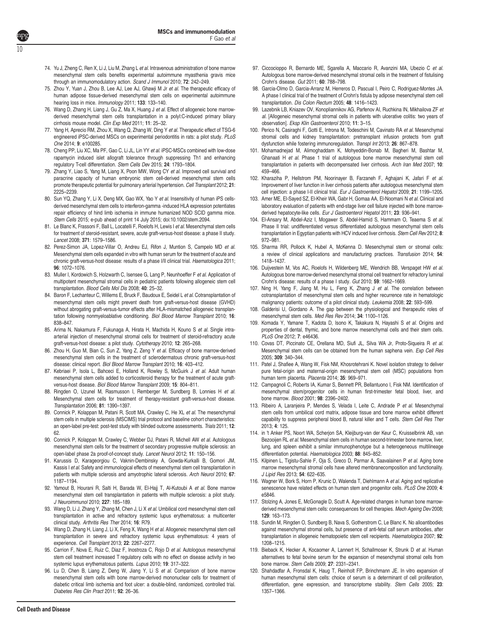- <span id="page-9-0"></span>74. Yu J, Zheng C, Ren X, Li J, Liu M, Zhang L et al. Intravenous administration of bone marrow mesenchymal stem cells benefits experimental autoimmune myasthenia gravis mice through an immunomodulatory action. Scand J Immunol 2010; 72: 242–249.
- 75. Zhou Y, Yuan J, Zhou B, Lee AJ, Lee AJ, Ghawji M Jr et al. The therapeutic efficacy of human adipose tissue-derived mesenchymal stem cells on experimental autoimmune hearing loss in mice. Immunology 2011; 133: 133-140.
- 76. Wang D, Zhang H, Liang J, Gu Z, Ma X, Huang J et al. Effect of allogeneic bone marrowderived mesenchymal stem cells transplantation in a polyI:C-induced primary biliary cirrhosis mouse model. Clin Exp Med 2011; 11: 25-32.
- 77. Yang H, Aprecio RM, Zhou X, Wang Q, Zhang W, Ding Y et al. Therapeutic effect of TSG-6 engineered iPSC-derived MSCs on experimental periodontitis in rats: a pilot study. PLoS One 2014; 9: e100285.
- 78. Cheng PP, Liu XC, Ma PF, Gao C, Li JL, Lin YY et al. iPSC-MSCs combined with low-dose rapamycin induced islet allograft tolerance through suppressing Th1 and enhancing regulatory T-cell differentiation. Stem Cells Dev 2015; 24: 1793–1804.
- 79. Zhang Y, Liao S, Yang M, Liang X, Poon MW, Wong CY et al. Improved cell survival and paracrine capacity of human embryonic stem cell-derived mesenchymal stem cells promote therapeutic potential for pulmonary arterial hypertension. Cell Transplant 2012; 21: 2225–2239.
- 80. Sun YQ, Zhang Y, Li X, Deng MX, Gao WX, Yao Y et al. Insensitivity of human iPS cellsderived mesenchymal stem cells to interferon-gamma -induced HLA expression potentiates repair efficiency of hind limb ischemia in immune humanized NOD SCID gamma mice. Stem Cells 2015; e-pub ahead of print 14 July 2015; doi:[10.1002/stem.2094.](http://dx.doi.org/10.1002/stem.2094)
- 81. Le Blanc K, Frassoni F, Ball L, Locatelli F, Roelofs H, Lewis I et al. Mesenchymal stem cells for treatment of steroid-resistant, severe, acute graft-versus-host disease: a phase II study. Lancet 2008; 371: 1579–1586.
- 82. Perez-Simon JA, Lopez-Villar O, Andreu EJ, Rifon J, Muntion S, Campelo MD et al. Mesenchymal stem cells expanded in vitro with human serum for the treatment of acute and chronic graft-versus-host disease: results of a phase I/II clinical trial. Haematologica 2011; 96: 1072–1076.
- 83. Muller I, Kordowich S, Holzwarth C, Isensee G, Lang P, Neunhoeffer F et al. Application of multipotent mesenchymal stromal cells in pediatric patients following allogeneic stem cell transplantation. Blood Cells Mol Dis 2008; 40: 25–32.
- 84. Baron F, Lechanteur C, Willems E, Bruck F, Baudoux E, Seidel L et al. Cotransplantation of mesenchymal stem cells might prevent death from graft-versus-host disease (GVHD) without abrogating graft-versus-tumor effects after HLA-mismatched allogeneic transplantation following nonmyeloablative conditioning. Biol Blood Marrow Transplant 2010; 16: 838–847.
- 85. Arima N, Nakamura F, Fukunaga A, Hirata H, Machida H, Kouno S et al. Single intraarterial injection of mesenchymal stromal cells for treatment of steroid-refractory acute graft-versus-host disease: a pilot study. Cytotherapy 2010; 12: 265–268.
- 86. Zhou H, Guo M, Bian C, Sun Z, Yang Z, Zeng Y et al. Efficacy of bone marrow-derived mesenchymal stem cells in the treatment of sclerodermatous chronic graft-versus-host disease: clinical report. Biol Blood Marrow Transplant 2010; 16: 403–412.
- 87. Kebriaei P, Isola L, Bahceci E, Holland K, Rowley S, McGuirk J et al. Adult human mesenchymal stem cells added to corticosteroid therapy for the treatment of acute graftversus-host disease. Biol Blood Marrow Transplant 2009; 15: 804–811.
- 88. Ringden O, Uzunel M, Rasmusson I, Remberger M, Sundberg B, Lonnies H et al. Mesenchymal stem cells for treatment of therapy-resistant graft-versus-host disease. Transplantation 2006; 81: 1390–1397.
- 89. Connick P, Kolappan M, Patani R, Scott MA, Crawley C, He XL et al. The mesenchymal stem cells in multiple sclerosis (MSCIMS) trial protocol and baseline cohort characteristics: an open-label pre-test: post-test study with blinded outcome assessments. Trials 2011; 12: 62.
- 90. Connick P, Kolappan M, Crawley C, Webber DJ, Patani R, Michell AW et al. Autologous mesenchymal stem cells for the treatment of secondary progressive multiple sclerosis: an open-label phase 2a proof-of-concept study. Lancet Neurol 2012; 11: 150–156.
- 91. Karussis D, Karageorgiou C, Vaknin-Dembinsky A, Gowda-Kurkalli B, Gomori JM, Kassis I et al. Safety and immunological effects of mesenchymal stem cell transplantation in patients with multiple sclerosis and amyotrophic lateral sclerosis. Arch Neurol 2010; 67: 1187–1194.
- 92. Yamout B, Hourani R, Salti H, Barada W, El-Hajj T, Al-Kutoubi A et al. Bone marrow mesenchymal stem cell transplantation in patients with multiple sclerosis: a pilot study. J Neuroimmunol 2010; 227: 185–189.
- 93. Wang D, Li J, Zhang Y, Zhang M, Chen J, Li X et al. Umbilical cord mesenchymal stem cell transplantation in active and refractory systemic lupus erythematosus: a multicenter clinical study. Arthritis Res Ther 2014; 16: R79.
- 94. Wang D, Zhang H, Liang J, Li X, Feng X, Wang H et al. Allogeneic mesenchymal stem cell transplantation in severe and refractory systemic lupus erythematosus: 4 years of experience. Cell Transplant 2013; 22: 2267–2277.
- 95. Carrion F, Nova E, Ruiz C, Diaz F, Inostroza C, Rojo D et al. Autologous mesenchymal stem cell treatment increased T regulatory cells with no effect on disease activity in two systemic lupus erythematosus patients. Lupus 2010; 19: 317–322.
- 96. Lu D, Chen B, Liang Z, Deng W, Jiang Y, Li S et al. Comparison of bone marrow mesenchymal stem cells with bone marrow-derived mononuclear cells for treatment of diabetic critical limb ischemia and foot ulcer: a double-blind, randomized, controlled trial. Diabetes Res Clin Pract 2011; 92: 26–36.
- 97. Ciccocioppo R, Bernardo ME, Sgarella A, Maccario R, Avanzini MA, Ubezio C et al. Autologous bone marrow-derived mesenchymal stromal cells in the treatment of fistulising Crohn's disease. Gut 2011; 60: 788–798.
- 98. Garcia-Olmo D, Garcia-Arranz M, Herreros D, Pascual I, Peiro C, Rodriguez-Montes JA. A phase I clinical trial of the treatment of Crohn's fistula by adipose mesenchymal stem cell transplantation. Dis Colon Rectum 2005; 48: 1416–1423.
- 99. Lazebnik LB, Kniazev OV, Konopliannikov AG, Parfenov AI, Ruchkina IN, Mikhailova ZF et al. [Allogeneic mesenchymal stromal cells in patients with ulcerative colitis: two years of observation]. Eksp Klin Gastroenterol 2010; 11: 3–15.
- 100. Perico N, Casiraghi F, Gotti E, Introna M, Todeschini M, Cavinato RA et al. Mesenchymal stromal cells and kidney transplantation: pretransplant infusion protects from graft dysfunction while fostering immunoregulation. Transpl Int 2013; 26: 867–878.
- 101. Mohamadnejad M, Alimoghaddam K, Mohyeddin-Bonab M, Bagheri M, Bashtar M, Ghanaati H et al. Phase 1 trial of autologous bone marrow mesenchymal stem cell transplantation in patients with decompensated liver cirrhosis. Arch Iran Med 2007; 10: 459–466.
- 102. Kharaziha P, Hellstrom PM, Noorinayer B, Farzaneh F, Aghajani K, Jafari F et al. Improvement of liver function in liver cirrhosis patients after autologous mesenchymal stem cell injection: a phase I-II clinical trial. Eur J Gastroenterol Hepatol 2009; 21: 1199-1205.
- 103. Amer ME, El-Sayed SZ, El-Kheir WA, Gabr H, Gomaa AA, El-Noomani N et al. Clinical and laboratory evaluation of patients with end-stage liver cell failure injected with bone marrowderived hepatocyte-like cells. Eur J Gastroenterol Hepatol 2011; 23: 936-941.
- 104. El-Ansary M, Abdel-Aziz I, Mogawer S, Abdel-Hamid S, Hammam O, Teaema S et al. Phase II trial: undifferentiated versus differentiated autologous mesenchymal stem cells transplantation in Egyptian patients with HCV induced liver cirrhosis. Stem Cell Rev 2012; 8: 972–981.
- 105. Sharma RR, Pollock K, Hubel A, McKenna D. Mesenchymal stem or stromal cells: a review of clinical applications and manufacturing practices. Transfusion 2014; 54: 1418–1437.
- 106. Duijvestein M, Vos AC, Roelofs H, Wildenberg ME, Wendrich BB, Verspaget HW et al. Autologous bone marrow-derived mesenchymal stromal cell treatment for refractory luminal Crohn's disease: results of a phase I study. Gut 2010; 59: 1662–1669.
- 107. Ning H, Yang F, Jiang M, Hu L, Feng K, Zhang J et al. The correlation between cotransplantation of mesenchymal stem cells and higher recurrence rate in hematologic malignancy patients: outcome of a pilot clinical study. Leukemia 2008; 22: 593–599.
- 108. Galderisi U, Giordano A. The gap between the physiological and therapeutic roles of mesenchymal stem cells. Med Res Rev 2014; 34: 1100–1126.
- 109. Komada Y, Yamane T, Kadota D, Isono K, Takakura N, Hayashi S et al. Origins and properties of dental, thymic, and bone marrow mesenchymal cells and their stem cells. PLoS One 2012; 7: e46436.
- 110. Covas DT, Piccinato CE, Orellana MD, Siufi JL, Silva WA Jr, Proto-Siqueira R et al. Mesenchymal stem cells can be obtained from the human saphena vein. Exp Cell Res 2005; 309: 340–344.
- 111. Patel J, Shafiee A, Wang W, Fisk NM, Khosrotehrani K. Novel isolation strategy to deliver pure fetal-origin and maternal-origin mesenchymal stem cell (MSC) populations from human term placenta. Placenta 2014; 35: 969–971.
- 112. Campagnoli C, Roberts IA, Kumar S, Bennett PR, Bellantuono I, Fisk NM. Identification of mesenchymal stem/progenitor cells in human first-trimester fetal blood, liver, and bone marrow. Blood 2001; 98: 2396–2402.
- 113. Ribeiro A, Laranjeira P, Mendes S, Velada I, Leite C, Andrade P et al. Mesenchymal stem cells from umbilical cord matrix, adipose tissue and bone marrow exhibit different capability to suppress peripheral blood B, natural killer and T cells. Stem Cell Res Ther 2013; 4: 125.
- 114. in 't Anker PS, Noort WA, Scherjon SA, Kleijburg-van der Keur C, Kruisselbrink AB, van Bezooijen RL et al. Mesenchymal stem cells in human second-trimester bone marrow, liver, lung, and spleen exhibit a similar immunophenotype but a heterogeneous multilineage differentiation potential. Haematologica 2003; 88: 845–852.
- 115. Kilpinen L, Tigistu-Sahle F, Oja S, Greco D, Parmar A, Saavalainen P et al. Aging bone marrow mesenchymal stromal cells have altered membranecomposition and functionality. J Lipid Res 2013; 54: 622–635.
- 116. Wagner W, Bork S, Horn P, Krunic D, Walenda T, Diehlmann A et al. Aging and replicative senescence have related effects on human stem and progenitor cells. PLoS One 2009; 4: e5846.
- 117. Stolzing A, Jones E, McGonagle D, Scutt A. Age-related changes in human bone marrowderived mesenchymal stem cells: consequences for cell therapies. Mech Ageing Dev 2008; 129: 163–173.
- 118. Sundin M, Ringden O, Sundberg B, Nava S, Gotherstrom C, Le Blanc K. No alloantibodies against mesenchymal stromal cells, but presence of anti-fetal calf serum antibodies, after transplantation in allogeneic hematopoietic stem cell recipients. Haematologica 2007; 92: 1208–1215.
- 119. Bieback K, Hecker A, Kocaomer A, Lannert H, Schallmoser K, Strunk D et al. Human alternatives to fetal bovine serum for the expansion of mesenchymal stromal cells from bone marrow. Stem Cells 2009; 27: 2331–2341.
- 120. Shahdadfar A, Fronsdal K, Haug T, Reinholt FP, Brinchmann JE. In vitro expansion of human mesenchymal stem cells: choice of serum is a determinant of cell proliferation, differentiation, gene expression, and transcriptome stability. Stem Cells 2005; 23: 1357–1366.